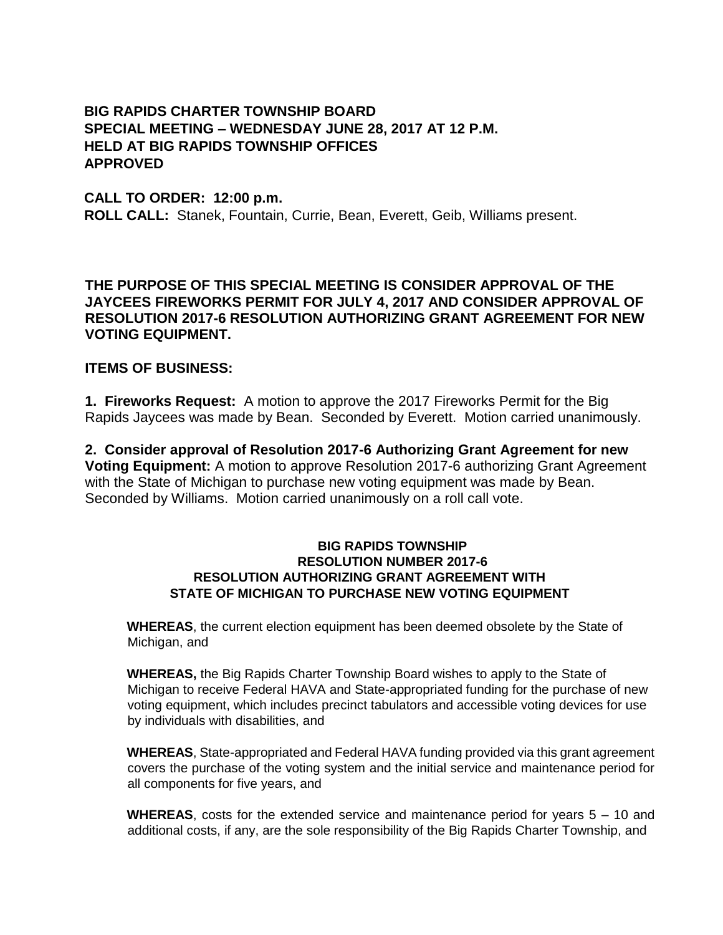## **BIG RAPIDS CHARTER TOWNSHIP BOARD SPECIAL MEETING – WEDNESDAY JUNE 28, 2017 AT 12 P.M. HELD AT BIG RAPIDS TOWNSHIP OFFICES APPROVED**

## **CALL TO ORDER: 12:00 p.m.**

**ROLL CALL:** Stanek, Fountain, Currie, Bean, Everett, Geib, Williams present.

**THE PURPOSE OF THIS SPECIAL MEETING IS CONSIDER APPROVAL OF THE JAYCEES FIREWORKS PERMIT FOR JULY 4, 2017 AND CONSIDER APPROVAL OF RESOLUTION 2017-6 RESOLUTION AUTHORIZING GRANT AGREEMENT FOR NEW VOTING EQUIPMENT.**

## **ITEMS OF BUSINESS:**

**1. Fireworks Request:** A motion to approve the 2017 Fireworks Permit for the Big Rapids Jaycees was made by Bean. Seconded by Everett. Motion carried unanimously.

**2. Consider approval of Resolution 2017-6 Authorizing Grant Agreement for new Voting Equipment:** A motion to approve Resolution 2017-6 authorizing Grant Agreement with the State of Michigan to purchase new voting equipment was made by Bean. Seconded by Williams. Motion carried unanimously on a roll call vote.

## **BIG RAPIDS TOWNSHIP RESOLUTION NUMBER 2017-6 RESOLUTION AUTHORIZING GRANT AGREEMENT WITH STATE OF MICHIGAN TO PURCHASE NEW VOTING EQUIPMENT**

**WHEREAS**, the current election equipment has been deemed obsolete by the State of Michigan, and

**WHEREAS,** the Big Rapids Charter Township Board wishes to apply to the State of Michigan to receive Federal HAVA and State-appropriated funding for the purchase of new voting equipment, which includes precinct tabulators and accessible voting devices for use by individuals with disabilities, and

**WHEREAS**, State-appropriated and Federal HAVA funding provided via this grant agreement covers the purchase of the voting system and the initial service and maintenance period for all components for five years, and

**WHEREAS**, costs for the extended service and maintenance period for years 5 – 10 and additional costs, if any, are the sole responsibility of the Big Rapids Charter Township, and